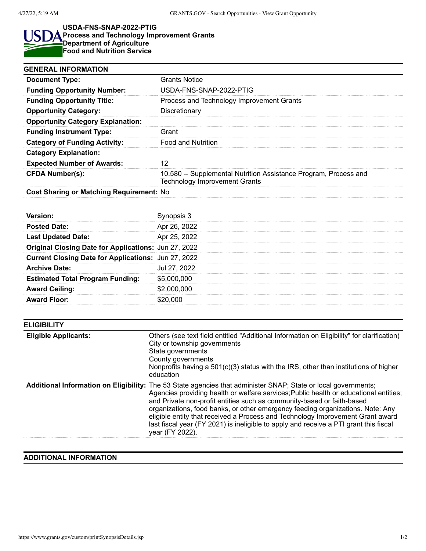## **USDA-FNS-SNAP-2022-PTIG**

## **Process and Technology Improvement Grants Department of Agriculture Food and Nutrition Service**

| <b>GENERAL INFORMATION</b>               |                                                                                                          |  |
|------------------------------------------|----------------------------------------------------------------------------------------------------------|--|
| <b>Document Type:</b>                    | <b>Grants Notice</b>                                                                                     |  |
| <b>Funding Opportunity Number:</b>       | USDA-FNS-SNAP-2022-PTIG                                                                                  |  |
| <b>Funding Opportunity Title:</b>        | Process and Technology Improvement Grants                                                                |  |
| <b>Opportunity Category:</b>             | Discretionary                                                                                            |  |
| <b>Opportunity Category Explanation:</b> |                                                                                                          |  |
| <b>Funding Instrument Type:</b>          | Grant                                                                                                    |  |
| <b>Category of Funding Activity:</b>     | <b>Food and Nutrition</b>                                                                                |  |
| <b>Category Explanation:</b>             |                                                                                                          |  |
| <b>Expected Number of Awards:</b>        |                                                                                                          |  |
| <b>CFDA Number(s):</b>                   | 10.580 -- Supplemental Nutrition Assistance Program, Process and<br><b>Technology Improvement Grants</b> |  |
| Cost Sharing or Matching Poquiromont: No |                                                                                                          |  |

## **Cost Sharing or Matching Requirement:** No

| Version:                                             | synopsis 3   |
|------------------------------------------------------|--------------|
| <b>Posted Date:</b>                                  | Apr 26, 2022 |
| <b>Last Updated Date:</b>                            | Apr 25, 2022 |
| Original Closing Date for Applications: Jun 27, 2022 |              |
| Current Closing Date for Applications: Jun 27, 2022  |              |
| <b>Archive Date:</b>                                 | Jul 27, 2022 |
| <b>Estimated Total Program Funding:</b>              | \$5,000,000  |
| <b>Award Ceiling:</b>                                | \$2,000,000  |
| <b>Award Floor:</b>                                  | \$20,000     |

| <b>ELIGIBILITY</b>          |                                                                                                                                                                                                                                                                                                                                                                                                                                                                                                                                                                   |  |
|-----------------------------|-------------------------------------------------------------------------------------------------------------------------------------------------------------------------------------------------------------------------------------------------------------------------------------------------------------------------------------------------------------------------------------------------------------------------------------------------------------------------------------------------------------------------------------------------------------------|--|
| <b>Eligible Applicants:</b> | Others (see text field entitled "Additional Information on Eligibility" for clarification)<br>City or township governments<br>State governments<br>County governments<br>Nonprofits having a 501(c)(3) status with the IRS, other than institutions of higher<br>education                                                                                                                                                                                                                                                                                        |  |
|                             | Additional Information on Eligibility: The 53 State agencies that administer SNAP; State or local governments;<br>Agencies providing health or welfare services; Public health or educational entities;<br>and Private non-profit entities such as community-based or faith-based<br>organizations, food banks, or other emergency feeding organizations. Note: Any<br>eligible entity that received a Process and Technology Improvement Grant award<br>last fiscal year (FY 2021) is ineligible to apply and receive a PTI grant this fiscal<br>year (FY 2022). |  |

## **ADDITIONAL INFORMATION**